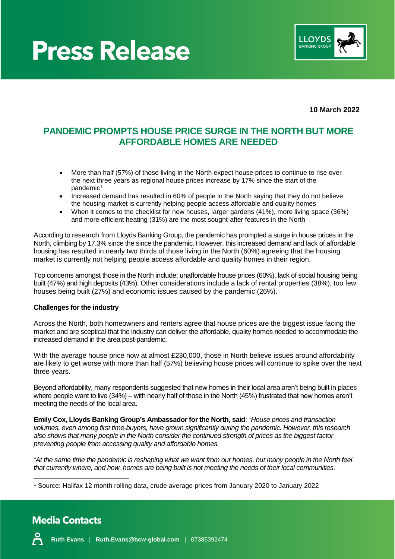



**10 March 2022**

### **PANDEMIC PROMPTS HOUSE PRICE SURGE IN THE NORTH BUT MORE AFFORDABLE HOMES ARE NEEDED**

- More than half (57%) of those living in the North expect house prices to continue to rise over the next three years as regional house prices increase by 17% since the start of the pandemic<sup>1</sup>
- Increased demand has resulted in 60% of people in the North saying that they do not believe the housing market is currently helping people access affordable and quality homes
- When it comes to the checklist for new houses, larger gardens (41%), more living space (36%) and more efficient heating (31%) are the most sought-after features in the North

According to research from Lloyds Banking Group, the pandemic has prompted a surge in house prices in the North, climbing by 17.3% since the since the pandemic. However, this increased demand and lack of affordable housing has resulted in nearly two thirds of those living in the North (60%) agreeing that the housing market is currently not helping people access affordable and quality homes in their region.

Top concerns amongst those in the North include; unaffordable house prices (60%), lack of social housing being built (47%) and high deposits (43%). Other considerations include a lack of rental properties (38%), too few houses being built (27%) and economic issues caused by the pandemic (26%).

#### **Challenges for the industry**

Across the North, both homeowners and renters agree that house prices are the biggest issue facing the market and are sceptical that the industry can deliver the affordable, quality homes needed to accommodate the increased demand in the area post-pandemic.

With the average house price now at almost £230,000, those in North believe issues around affordability are likely to get worse with more than half (57%) believing house prices will continue to spike over the next three years.

Beyond affordability, many respondents suggested that new homes in their local area aren't being built in places where people want to live (34%) – with nearly half of those in the North (45%) frustrated that new homes aren't meeting the needs of the local area.

**Emily Cox, Lloyds Banking Group's Ambassador for the North, said**: *"House prices and transaction volumes, even among first time-buyers, have grown significantly during the pandemic. However, this research also shows that many people in the North consider the continued strength of prices as the biggest factor preventing people from accessing quality and affordable homes.* 

*"At the same time the pandemic is reshaping what we want from our homes, but many people in the North feel that currently where, and how, homes are being built is not meeting the needs of their local communities.*

## **Media Contacts**



<sup>1</sup> Source: Halifax 12 month rolling data, crude average prices from January 2020 to January 2022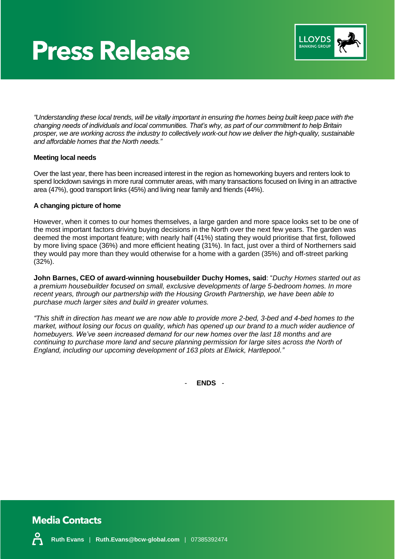## **Press Release**



*"Understanding these local trends, will be vitally important in ensuring the homes being built keep pace with the changing needs of individuals and local communities. That's why, as part of our commitment to help Britain prosper, we are working across the industry to collectively work-out how we deliver the high-quality, sustainable and affordable homes that the North needs."*

#### **Meeting local needs**

Over the last year, there has been increased interest in the region as homeworking buyers and renters look to spend lockdown savings in more rural commuter areas, with many transactions focused on living in an attractive area (47%), good transport links (45%) and living near family and friends (44%).

#### **A changing picture of home**

However, when it comes to our homes themselves, a large garden and more space looks set to be one of the most important factors driving buying decisions in the North over the next few years. The garden was deemed the most important feature; with nearly half (41%) stating they would prioritise that first, followed by more living space (36%) and more efficient heating (31%). In fact, just over a third of Northerners said they would pay more than they would otherwise for a home with a garden (35%) and off-street parking (32%).

**John Barnes, CEO of award-winning housebuilder Duchy Homes, said**: "*Duchy Homes started out as a premium housebuilder focused on small, exclusive developments of large 5-bedroom homes. In more recent years, through our partnership with the Housing Growth Partnership, we have been able to purchase much larger sites and build in greater volumes.*

*"This shift in direction has meant we are now able to provide more 2-bed, 3-bed and 4-bed homes to the market, without losing our focus on quality, which has opened up our brand to a much wider audience of homebuyers. We've seen increased demand for our new homes over the last 18 months and are continuing to purchase more land and secure planning permission for large sites across the North of England, including our upcoming development of 163 plots at Elwick, Hartlepool."*

- **ENDS** -



**Ruth Evans** | **Ruth.Evans@bcw-global.com** | 07385392474